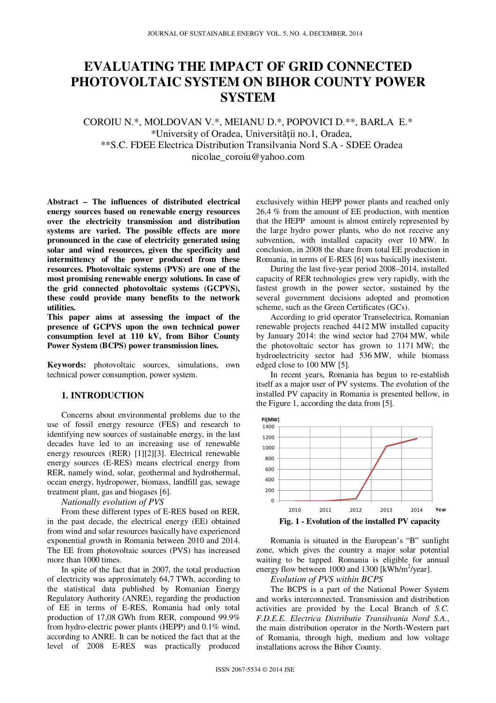# **EVALUATING THE IMPACT OF GRID CONNECTED PHOTOVOLTAIC SYSTEM ON BIHOR COUNTY POWER SYSTEM**

COROIU N.\*, MOLDOVAN V.\*, MEIANU D.\*, POPOVICI D.\*\*, BARLA E.\* \*University of Oradea, Universităţii no.1, Oradea, \*\*S.C. FDEE Electrica Distribution Transilvania Nord S.A - SDEE Oradea nicolae\_coroiu@yahoo.com

**Abstract – The influences of distributed electrical energy sources based on renewable energy resources over the electricity transmission and distribution systems are varied. The possible effects are more pronounced in the case of electricity generated using solar and wind resources, given the specificity and intermittency of the power produced from these resources. Photovoltaic systems (PVS) are one of the most promising renewable energy solutions. In case of the grid connected photovoltaic systems (GCPVS), these could provide many benefits to the network utilities.** 

**This paper aims at assessing the impact of the presence of GCPVS upon the own technical power consumption level at 110 kV, from Bihor County Power System (BCPS) power transmission lines.** 

**Keywords:** photovoltaic sources, simulations, own technical power consumption, power system.

#### **1. INTRODUCTION**

Concerns about environmental problems due to the use of fossil energy resource (FES) and research to identifying new sources of sustainable energy, in the last decades have led to an increasing use of renewable energy resources (RER) [1][2][3]. Electrical renewable energy sources (E-RES) means electrical energy from RER, namely wind, solar, geothermal and hydrothermal, ocean energy, hydropower, biomass, landfill gas, sewage treatment plant, gas and biogases [6].

*Nationally evolution of PVS* 

From these different types of E-RES based on RER, in the past decade, the electrical energy (EE) obtained from wind and solar resources basically have experienced exponential growth in Romania between 2010 and 2014. The EE from photovoltaic sources (PVS) has increased more than 1000 times.

In spite of the fact that in 2007, the total production of electricity was approximately 64,7 TWh, according to the statistical data published by Romanian Energy Regulatory Authority (ANRE), regarding the production of EE in terms of E-RES, Romania had only total production of 17,08 GWh from RER, compound 99.9% from hydro-electric power plants (HEPP) and 0.1% wind, according to ANRE. It can be noticed the fact that at the level of 2008 E-RES was practically produced

exclusively within HEPP power plants and reached only 26,4 % from the amount of EE production, with mention that the HEPP amount is almost entirely represented by the large hydro power plants, who do not receive any subvention, with installed capacity over 10 MW. In conclusion, in 2008 the share from total EE production in Romania, in terms of E-RES [6] was basically inexistent.

During the last five-year period 2008–2014, installed capacity of RER technologies grew very rapidly, with the fastest growth in the power sector, sustained by the several government decisions adopted and promotion scheme, such as the Green Certificates (GCs).

According to grid operator Transelectrica, Romanian renewable projects reached 4412 MW installed capacity by January 2014: the wind sector had 2704 MW, while the photovoltaic sector has grown to 1171 MW; the hydroelectricity sector had 536 MW, while biomass edged close to 100 MW [5].

In recent years, Romania has begun to re-establish itself as a major user of PV systems. The evolution of the installed PV capacity in Romania is presented bellow, in the Figure 1, according the data from [5].



**Fig. 1 - Evolution of the installed PV capacity** 

Romania is situated in the European's "B" sunlight zone, which gives the country a major solar potential waiting to be tapped. Romania is eligible for annual energy flow between  $1000$  and  $1300$  [kWh/m<sup>2</sup>/year].

## *Evolution of PVS within BCPS*

The BCPS is a part of the National Power System and works interconnected. Transmission and distribution activities are provided by the Local Branch of *S.C. F.D.E.E. Electrica Distributie Transilvania Nord S.A.*, the main distribution operator in the North-Western part of Romania, through high, medium and low voltage installations across the Bihor County.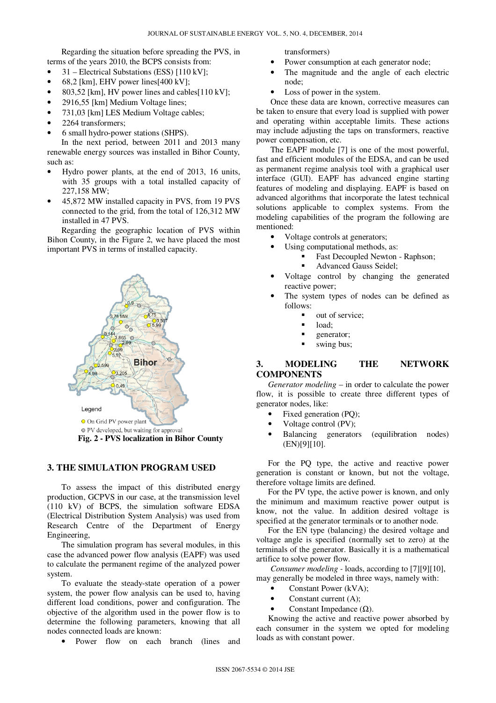Regarding the situation before spreading the PVS, in terms of the years 2010, the BCPS consists from:

- 31 Electrical Substations (ESS) [110 kV];
- 68.2 [km], EHV power lines[400 kV];
- 803,52 [km], HV power lines and cables[110 kV];
- 2916,55 [km] Medium Voltage lines;
- 731,03 [km] LES Medium Voltage cables;
- 2264 transformers;
- 6 small hydro-power stations (SHPS).

In the next period, between 2011 and 2013 many renewable energy sources was installed in Bihor County, such as:

- Hydro power plants, at the end of 2013, 16 units, with 35 groups with a total installed capacity of 227,158 MW;
- 45,872 MW installed capacity in PVS, from 19 PVS connected to the grid, from the total of 126,312 MW installed in 47 PVS.

Regarding the geographic location of PVS within Bihon County, in the Figure 2, we have placed the most important PVS in terms of installed capacity.



**Fig. 2 - PVS localization in Bihor County** 

#### **3. THE SIMULATION PROGRAM USED**

To assess the impact of this distributed energy production, GCPVS in our case, at the transmission level (110 kV) of BCPS, the simulation software EDSA (Electrical Distribution System Analysis) was used from Research Centre of the Department of Energy Engineering,

The simulation program has several modules, in this case the advanced power flow analysis (EAPF) was used to calculate the permanent regime of the analyzed power system.

To evaluate the steady-state operation of a power system, the power flow analysis can be used to, having different load conditions, power and configuration. The objective of the algorithm used in the power flow is to determine the following parameters, knowing that all nodes connected loads are known:

• Power flow on each branch (lines and

transformers)

- Power consumption at each generator node;
- The magnitude and the angle of each electric node;
- Loss of power in the system.

Once these data are known, corrective measures can be taken to ensure that every load is supplied with power and operating within acceptable limits. These actions may include adjusting the taps on transformers, reactive power compensation, etc.

The EAPF module [7] is one of the most powerful, fast and efficient modules of the EDSA, and can be used as permanent regime analysis tool with a graphical user interface (GUI). EAPF has advanced engine starting features of modeling and displaying. EAPF is based on advanced algorithms that incorporate the latest technical solutions applicable to complex systems. From the modeling capabilities of the program the following are mentioned:

- Voltage controls at generators;
- Using computational methods, as:
	- **Fast Decoupled Newton Raphson;** 
		- Advanced Gauss Seidel;
- Voltage control by changing the generated reactive power;
- The system types of nodes can be defined as follows:
	- out of service;
	- load;
	- generator;
	- swing bus;

## **3. MODELING THE NETWORK COMPONENTS**

*Generator modeling* – in order to calculate the power flow, it is possible to create three different types of generator nodes, like:

- Fixed generation (PQ);
- Voltage control (PV);
- Balancing generators (equilibration nodes) (EN)[9][10].

For the PQ type, the active and reactive power generation is constant or known, but not the voltage, therefore voltage limits are defined.

For the PV type, the active power is known, and only the minimum and maximum reactive power output is know, not the value. In addition desired voltage is specified at the generator terminals or to another node.

For the EN type (balancing) the desired voltage and voltage angle is specified (normally set to zero) at the terminals of the generator. Basically it is a mathematical artifice to solve power flow.

*Consumer modeling -* loads, according to [7][9][10], may generally be modeled in three ways, namely with:

- Constant Power (kVA);
- Constant current (A);
- Constant Impedance  $(Ω)$ .

Knowing the active and reactive power absorbed by each consumer in the system we opted for modeling loads as with constant power.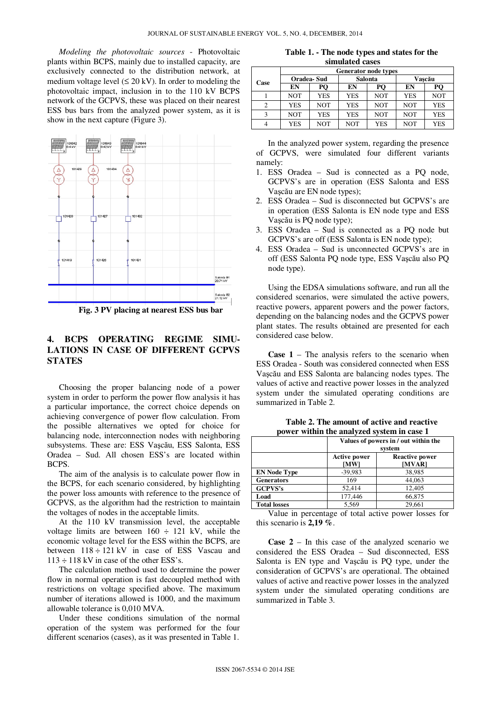*Modeling the photovoltaic sources* - Photovoltaic plants within BCPS, mainly due to installed capacity, are exclusively connected to the distribution network, at medium voltage level  $(\leq 20 \text{ kV})$ . In order to modeling the photovoltaic impact, inclusion in to the 110 kV BCPS network of the GCPVS, these was placed on their nearest ESS bus bars from the analyzed power system, as it is show in the next capture (Figure 3).



**Fig. 3 PV placing at nearest ESS bus bar** 

### **4. BCPS OPERATING REGIME SIMU-LATIONS IN CASE OF DIFFERENT GCPVS STATES**

Choosing the proper balancing node of a power system in order to perform the power flow analysis it has a particular importance, the correct choice depends on achieving convergence of power flow calculation. From the possible alternatives we opted for choice for balancing node, interconnection nodes with neighboring subsystems. These are: ESS Vaşcău, ESS Salonta, ESS Oradea – Sud. All chosen ESS's are located within BCPS.

The aim of the analysis is to calculate power flow in the BCPS, for each scenario considered, by highlighting the power loss amounts with reference to the presence of GCPVS, as the algorithm had the restriction to maintain the voltages of nodes in the acceptable limits.

At the 110 kV transmission level, the acceptable voltage limits are between  $160 \div 121$  kV, while the economic voltage level for the ESS within the BCPS, are between  $118 \div 121$  kV in case of ESS Vascau and  $113 \div 118$  kV in case of the other ESS's.

The calculation method used to determine the power flow in normal operation is fast decoupled method with restrictions on voltage specified above. The maximum number of iterations allowed is 1000, and the maximum allowable tolerance is 0,010 MVA.

Under these conditions simulation of the normal operation of the system was performed for the four different scenarios (cases), as it was presented in Table 1.

**Table 1. - The node types and states for the simulated cases** 

|      | <b>Generator node types</b> |     |            |            |            |            |
|------|-----------------------------|-----|------------|------------|------------|------------|
| Case | Oradea-Sud                  |     | Salonta    |            | Vascău     |            |
|      | EN                          | PО  | EN         | PО         | EN         |            |
|      | NOT                         | YES | <b>YES</b> | <b>NOT</b> | <b>YES</b> | <b>NOT</b> |
|      | YES                         | NOT | <b>YES</b> | <b>NOT</b> | <b>NOT</b> | <b>YES</b> |
|      | NOT                         | YES | <b>YES</b> | <b>NOT</b> | <b>NOT</b> | <b>YES</b> |
|      | YES                         | NOT | NOT        | <b>YES</b> | NOT        | YES        |

In the analyzed power system, regarding the presence of GCPVS, were simulated four different variants namely:

- 1. ESS Oradea Sud is connected as a PQ node, GCPVS's are in operation (ESS Salonta and ESS Vaşcău are EN node types);
- 2. ESS Oradea Sud is disconnected but GCPVS's are in operation (ESS Salonta is EN node type and ESS Vaşcău is PQ node type);
- 3. ESS Oradea Sud is connected as a PQ node but GCPVS's are off (ESS Salonta is EN node type);
- 4. ESS Oradea Sud is unconnected GCPVS's are in off (ESS Salonta PQ node type, ESS Vaşcău also PQ node type).

Using the EDSA simulations software, and run all the considered scenarios, were simulated the active powers, reactive powers, apparent powers and the power factors, depending on the balancing nodes and the GCPVS power plant states. The results obtained are presented for each considered case below.

**Case 1** – The analysis refers to the scenario when ESS Oradea - South was considered connected when ESS Vaşcău and ESS Salonta are balancing nodes types. The values of active and reactive power losses in the analyzed system under the simulated operating conditions are summarized in Table 2.

|                     | Values of powers in / out within the<br>system |                                 |  |
|---------------------|------------------------------------------------|---------------------------------|--|
|                     | <b>Active power</b><br>[MW]                    | <b>Reactive power</b><br>[MVAR] |  |
| <b>EN Node Type</b> | $-39,983$                                      | 38,985                          |  |
| <b>Generators</b>   | 169                                            | 44,063                          |  |
| <b>GCPVS's</b>      | 52.414                                         | 12,405                          |  |
| Load                | 177,446                                        | 66,875                          |  |
| <b>Total losses</b> | 5.569                                          | 29.661                          |  |

**Table 2. The amount of active and reactive power within the analyzed system in case 1** 

Value in percentage of total active power losses for this scenario is **2,19 %**.

**Case 2** – In this case of the analyzed scenario we considered the ESS Oradea – Sud disconnected, ESS Salonta is EN type and Vaşcău is PQ type, under the consideration of GCPVS's are operational. The obtained values of active and reactive power losses in the analyzed system under the simulated operating conditions are summarized in Table 3.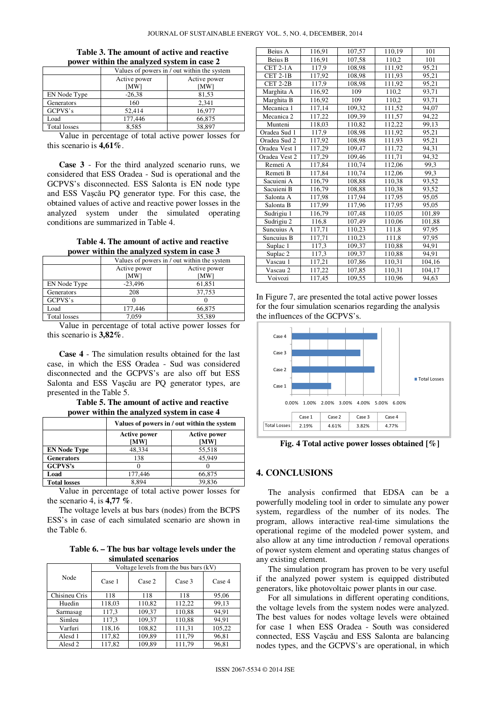| $\mu$ <sub>0</sub> $\mu$ $\alpha$ $\mu$ $\alpha$ $\mu$ $\alpha$ $\mu$ $\alpha$ $\mu$ $\beta$ $\alpha$ $\mu$ $\alpha$ $\mu$ $\alpha$ $\alpha$ $\alpha$ |                                             |              |  |  |
|-------------------------------------------------------------------------------------------------------------------------------------------------------|---------------------------------------------|--------------|--|--|
|                                                                                                                                                       | Values of powers in / out within the system |              |  |  |
|                                                                                                                                                       | Active power                                | Active power |  |  |
|                                                                                                                                                       | [MW]                                        | [MW]         |  |  |
| EN Node Type                                                                                                                                          | $-26.38$                                    | 81,53        |  |  |
| Generators                                                                                                                                            | 160                                         | 2.341        |  |  |
| GCPVS's                                                                                                                                               | 52,414                                      | 16,977       |  |  |
| Load                                                                                                                                                  | 177,446                                     | 66,875       |  |  |
| <b>Total losses</b>                                                                                                                                   | 8.585                                       | 38,897       |  |  |

#### **Table 3. The amount of active and reactive power within the analyzed system in case 2**

Value in percentage of total active power losses for this scenario is **4,61%**.

**Case 3** - For the third analyzed scenario runs, we considered that ESS Oradea - Sud is operational and the GCPVS's disconnected. ESS Salonta is EN node type and ESS Vașcău PQ generator type. For this case, the obtained values of active and reactive power losses in the analyzed system under the simulated operating conditions are summarized in Table 4.

**Table 4. The amount of active and reactive power within the analyzed system in case 3**

|              | Values of powers in / out within the system |                      |  |  |
|--------------|---------------------------------------------|----------------------|--|--|
|              | Active power<br>[MW]                        | Active power<br>[MW] |  |  |
| EN Node Type | $-23,496$                                   | 61,851               |  |  |
| Generators   | 208                                         | 37,753               |  |  |
| GCPVS's      |                                             |                      |  |  |
| Load         | 177,446                                     | 66,875               |  |  |
| Total losses | 7.059                                       | 35.389               |  |  |

Value in percentage of total active power losses for this scenario is **3,82%**.

**Case 4** - The simulation results obtained for the last case, in which the ESS Oradea - Sud was considered disconnected and the GCPVS's are also off but ESS Salonta and ESS Vașcău are PQ generator types, are presented in the Table 5.

**Table 5. The amount of active and reactive power within the analyzed system in case 4**

|                     | Values of powers in / out within the system |                             |  |
|---------------------|---------------------------------------------|-----------------------------|--|
|                     | <b>Active power</b><br>[MW]                 | <b>Active power</b><br>[MW] |  |
| <b>EN Node Type</b> | 48,334                                      | 55,518                      |  |
| <b>Generators</b>   | 138                                         | 45.949                      |  |
| <b>GCPVS's</b>      |                                             |                             |  |
| Load                | 177.446                                     | 66,875                      |  |
| <b>Total losses</b> | 8.894                                       | 39.836                      |  |

Value in percentage of total active power losses for the scenario 4, is **4,77 %**.

The voltage levels at bus bars (nodes) from the BCPS ESS's in case of each simulated scenario are shown in the Table 6.

**Table 6. – The bus bar voltage levels under the simulated scenarios** 

|                    | Voltage levels from the bus bars (kV) |        |        |        |
|--------------------|---------------------------------------|--------|--------|--------|
| Node               | Case 1                                | Case 2 | Case 3 | Case 4 |
| Chisineu Cris      | 118                                   | 118    | 118    | 95,06  |
| Huedin             | 118,03                                | 110,82 | 112,22 | 99,13  |
| Sarmasag           | 117.3                                 | 109.37 | 110,88 | 94.91  |
| Simleu             | 117,3                                 | 109.37 | 110,88 | 94.91  |
| Varfuri            | 118,16                                | 108,82 | 111,31 | 105,22 |
| Alesd 1            | 117,82                                | 109,89 | 111,79 | 96,81  |
| Alesd <sub>2</sub> | 117,82                                | 109.89 | 111,79 | 96,81  |

| Beius A         | 116,91 | 107,57 | 110,19 | 101    |
|-----------------|--------|--------|--------|--------|
| Beius B         | 116,91 | 107,58 | 110,2  | 101    |
| <b>CET 2-1A</b> | 117,9  | 108,98 | 111,92 | 95,21  |
| $CET 2-1B$      | 117,92 | 108,98 | 111,93 | 95,21  |
| $CET 2-2B$      | 117,9  | 108,98 | 111,92 | 95,21  |
| Marghita A      | 116,92 | 109    | 110,2  | 93,71  |
| Marghita B      | 116,92 | 109    | 110,2  | 93,71  |
| Mecanica 1      | 117,14 | 109,32 | 111,52 | 94,07  |
| Mecanica 2      | 117,22 | 109,39 | 111,57 | 94,22  |
| Munteni         | 118,03 | 110,82 | 112,22 | 99,13  |
| Oradea Sud 1    | 117,9  | 108,98 | 111,92 | 95,21  |
| Oradea Sud 2    | 117,92 | 108,98 | 111,93 | 95,21  |
| Oradea Vest 1   | 117,29 | 109,47 | 111,72 | 94,31  |
| Oradea Vest 2   | 117,29 | 109,46 | 111,71 | 94,32  |
| Remeti A        | 117,84 | 110,74 | 112,06 | 99.3   |
| Remeti B        | 117,84 | 110,74 | 112,06 | 99.3   |
| Sacuieni A      | 116,79 | 108,88 | 110,38 | 93,52  |
| Sacuieni B      | 116,79 | 108,88 | 110,38 | 93,52  |
| Salonta A       | 117,98 | 117,94 | 117,95 | 95,05  |
| Salonta B       | 117,99 | 117,96 | 117,95 | 95,05  |
| Sudrigiu 1      | 116,79 | 107,48 | 110,05 | 101,89 |
| Sudrigiu 2      | 116,8  | 107,49 | 110,06 | 101,88 |
| Suncuius A      | 117,71 | 110,23 | 111,8  | 97,95  |
| Suncuius B      | 117,71 | 110,23 | 111,8  | 97,95  |
| Suplac 1        | 117,3  | 109,37 | 110,88 | 94,91  |
| Suplac 2        | 117,3  | 109,37 | 110,88 | 94,91  |
| Vascau 1        | 117,21 | 107,86 | 110,31 | 104,16 |
| Vascau 2        | 117,22 | 107,85 | 110,31 | 104,17 |
| Voivozi         | 117,45 | 109,55 | 110,96 | 94,63  |

In Figure 7, are presented the total active power losses for the four simulation scenarios regarding the analysis the influences of the GCPVS's.



**Fig. 4 Total active power losses obtained [%]** 

## **4. CONCLUSIONS**

The analysis confirmed that EDSA can be a powerfully modeling tool in order to simulate any power system, regardless of the number of its nodes. The program, allows interactive real-time simulations the operational regime of the modeled power system, and also allow at any time introduction / removal operations of power system element and operating status changes of any existing element.

The simulation program has proven to be very useful if the analyzed power system is equipped distributed generators, like photovoltaic power plants in our case.

For all simulations in different operating conditions, the voltage levels from the system nodes were analyzed. The best values for nodes voltage levels were obtained for case 1 when ESS Oradea - South was considered connected, ESS Vaşcău and ESS Salonta are balancing nodes types, and the GCPVS's are operational, in which